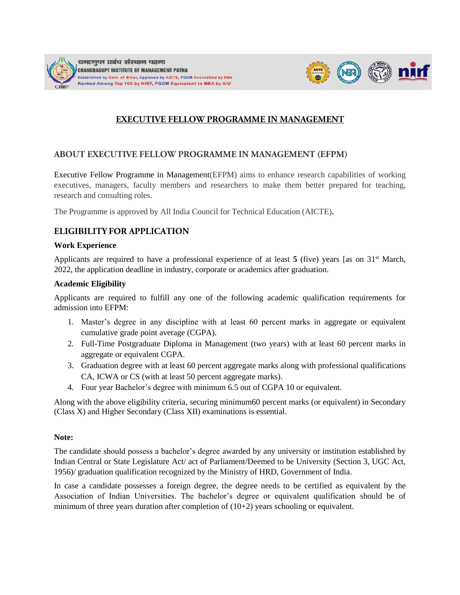



## **EXECUTIVE FELLOW PROGRAMME IN MANAGEMENT**

#### **ABOUT EXECUTIVE FELLOW PROGRAMME IN MANAGEMENT (EFPM)**

Executive Fellow Programme in Management(EFPM) aims to enhance research capabilities of working executives, managers, faculty members and researchers to make them better prepared for teaching, research and consulting roles.

The Programme is approved by All India Council for Technical Education (AICTE)**.**

### **ELIGIBILITY FOR APPLICATION**

#### **Work Experience**

Applicants are required to have a professional experience of at least  $5$  (five) years [as on 31<sup>st</sup> March, 2022, the application deadline in industry, corporate or academics after graduation.

#### **Academic Eligibility**

Applicants are required to fulfill any one of the following academic qualification requirements for admission into EFPM:

- 1. Master's degree in any discipline with at least 60 percent marks in aggregate or equivalent cumulative grade point average (CGPA).
- 2. Full-Time Postgraduate Diploma in Management (two years) with at least 60 percent marks in aggregate or equivalent CGPA.
- 3. Graduation degree with at least 60 percent aggregate marks along with professional qualifications CA, ICWA or CS (with at least 50 percent aggregate marks).
- 4. Four year Bachelor's degree with minimum 6.5 out of CGPA 10 or equivalent.

Along with the above eligibility criteria, securing minimum60 percent marks (or equivalent) in Secondary (Class X) and Higher Secondary (Class XII) examinations is essential.

#### **Note:**

The candidate should possess a bachelor's degree awarded by any university or institution established by Indian Central or State Legislature Act/ act of Parliament/Deemed to be University (Section 3, UGC Act, 1956)/ graduation qualification recognized by the Ministry of HRD, Government of India.

In case a candidate possesses a foreign degree, the degree needs to be certified as equivalent by the Association of Indian Universities. The bachelor's degree or equivalent qualification should be of minimum of three years duration after completion of (10+2) years schooling or equivalent.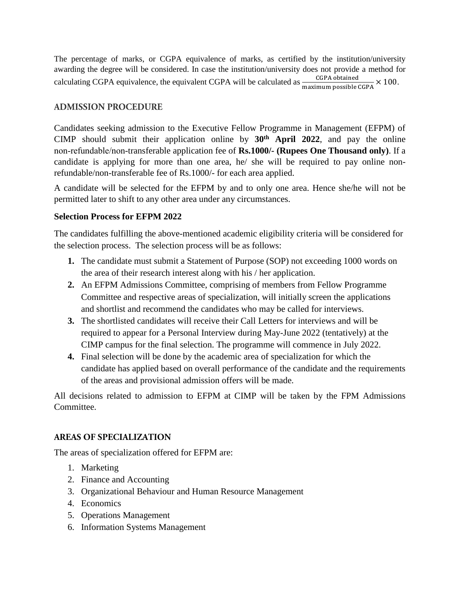The percentage of marks, or CGPA equivalence of marks, as certified by the institution/university awarding the degree will be considered. In case the institution/university does not provide a method for calculating CGPA equivalence, the equivalent CGPA will be calculated as  $\frac{CGPA \text{ obtained}}{T}$  $\frac{\text{Corrational}}{\text{maximum possible GCPA}} \times 100.$ 

### **ADMISSION PROCEDURE**

Candidates seeking admission to the Executive Fellow Programme in Management (EFPM) of CIMP should submit their application online by  $30<sup>th</sup>$  **April** 2022, and pay the online non‐refundable/non-transferable application fee of **Rs.1000/- (Rupees One Thousand only)**. If a candidate is applying for more than one area, he/ she will be required to pay online nonrefundable/non-transferable fee of Rs.1000/- for each area applied.

A candidate will be selected for the EFPM by and to only one area. Hence she/he will not be permitted later to shift to any other area under any circumstances.

#### **Selection Process for EFPM 2022**

The candidates fulfilling the above-mentioned academic eligibility criteria will be considered for the selection process. The selection process will be as follows:

- **1.** The candidate must submit a Statement of Purpose (SOP) not exceeding 1000 words on the area of their research interest along with his / her application.
- **2.** An EFPM Admissions Committee, comprising of members from Fellow Programme Committee and respective areas of specialization, will initially screen the applications and shortlist and recommend the candidates who may be called for interviews.
- **3.** The shortlisted candidates will receive their Call Letters for interviews and will be required to appear for a Personal Interview during May-June 2022 (tentatively) at the CIMP campus for the final selection. The programme will commence in July 2022.
- **4.** Final selection will be done by the academic area of specialization for which the candidate has applied based on overall performance of the candidate and the requirements of the areas and provisional admission offers will be made.

All decisions related to admission to EFPM at CIMP will be taken by the FPM Admissions Committee.

### **AREAS OF SPECIALIZATION**

The areas of specialization offered for EFPM are:

- 1. Marketing
- 2. Finance and Accounting
- 3. Organizational Behaviour and Human Resource Management
- 4. Economics
- 5. Operations Management
- 6. Information Systems Management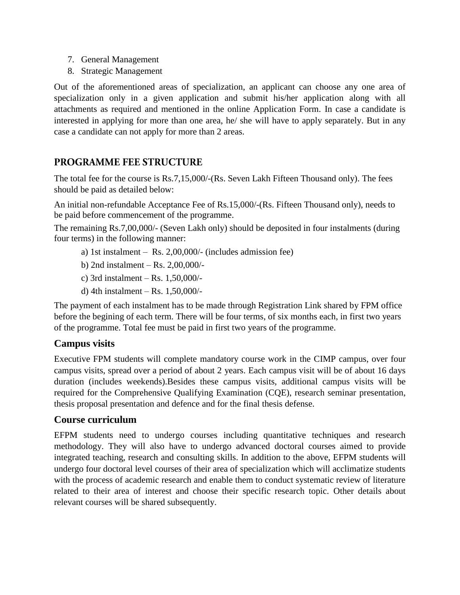- 7. General Management
- 8. Strategic Management

Out of the aforementioned areas of specialization, an applicant can choose any one area of specialization only in a given application and submit his/her application along with all attachments as required and mentioned in the online Application Form. In case a candidate is interested in applying for more than one area, he/ she will have to apply separately. But in any case a candidate can not apply for more than 2 areas.

# **PROGRAMME FEE STRUCTURE**

The total fee for the course is Rs.7,15,000/-(Rs. Seven Lakh Fifteen Thousand only). The fees should be paid as detailed below:

An initial non-refundable Acceptance Fee of Rs.15,000/-(Rs. Fifteen Thousand only), needs to be paid before commencement of the programme.

The remaining Rs.7,00,000/- (Seven Lakh only) should be deposited in four instalments (during four terms) in the following manner:

- a) 1st instalment Rs. 2,00,000/- (includes admission fee)
- b) 2nd instalment Rs. 2,00,000/-
- c) 3rd instalment Rs. 1,50,000/-
- d) 4th instalment Rs. 1,50,000/-

The payment of each instalment has to be made through Registration Link shared by FPM office before the begining of each term. There will be four terms, of six months each, in first two years of the programme. Total fee must be paid in first two years of the programme.

# **Campus visits**

Executive FPM students will complete mandatory course work in the CIMP campus, over four campus visits, spread over a period of about 2 years. Each campus visit will be of about 16 days duration (includes weekends).Besides these campus visits, additional campus visits will be required for the Comprehensive Qualifying Examination (CQE), research seminar presentation, thesis proposal presentation and defence and for the final thesis defense.

# **Course curriculum**

EFPM students need to undergo courses including quantitative techniques and research methodology. They will also have to undergo advanced doctoral courses aimed to provide integrated teaching, research and consulting skills. In addition to the above, EFPM students will undergo four doctoral level courses of their area of specialization which will acclimatize students with the process of academic research and enable them to conduct systematic review of literature related to their area of interest and choose their specific research topic. Other details about relevant courses will be shared subsequently.